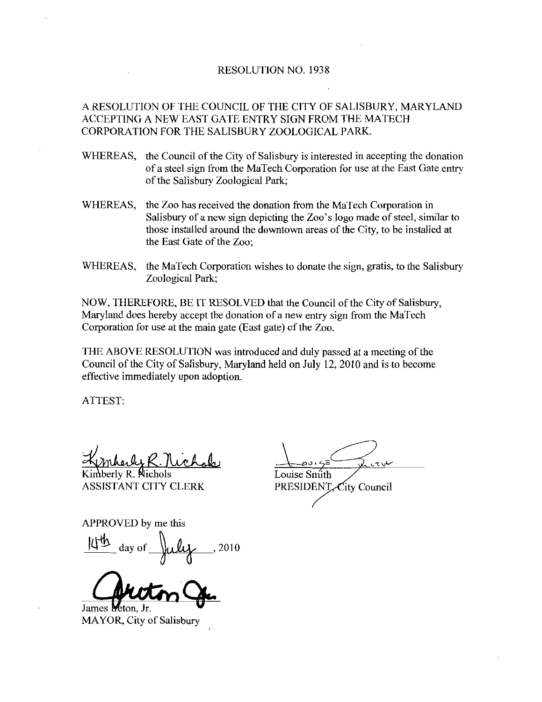## RESOLUTION NO. 1938

A RESOLUTION OF THE COUNCIL OF THE CITY OF SALISBURY MARYLAND ACCEPTING A NEW EAST GATE ENTRY SIGN FROM THE MATECH CORPORATION FOR THE SALISBURY ZOOLOGICAL PARK

- WHEREAS, the Council of the City of Salisbury is interested in accepting the donation ofasteel sign from the MaTech Corporation for use at the East Gate entry of the Salisbury Zoological Park;
- WHEREAS, the Zoo has received the donation from the MaTech Corporation in Salisbury of a new sign depicting the Zoo's logo made of steel, similar to those installed around the downtown areas of the City, to be installed at the East Gate of the Zoo
- WHEREAS, the MaTech Corporation wishes to donate the sign, gratis, to the Salisbury Zoological Park

NOW, THEREFORE, BE IT RESOLVED that the Council of the City of Salisbury, Mazyland does hereby accept the donation of a new entry sign from the MaTech Corporation for use at the main gate (East gate) of the Zoo.

THE ABOVE RESOLUTION was introduced and duly passed at ameeting of the Council of the City of Salisbury, Maryland held on July 12, 2010 and is to become effective immediately upon adoption

ATTEST

 $n$ hoski $k$ 

Kimberly R. Nichols Louise Smith

ASSISTANT CITY CLERK<br>
APPROVED by me this<br>  $\frac{11^{th}}{10^{th}}$  day of  $\mu$ ly, 2010  $44$ ANT CITY CLERK<br>VED by me this<br>day of **July**, 2010

James Meton. Jr. MAYOR, City of Salisbury